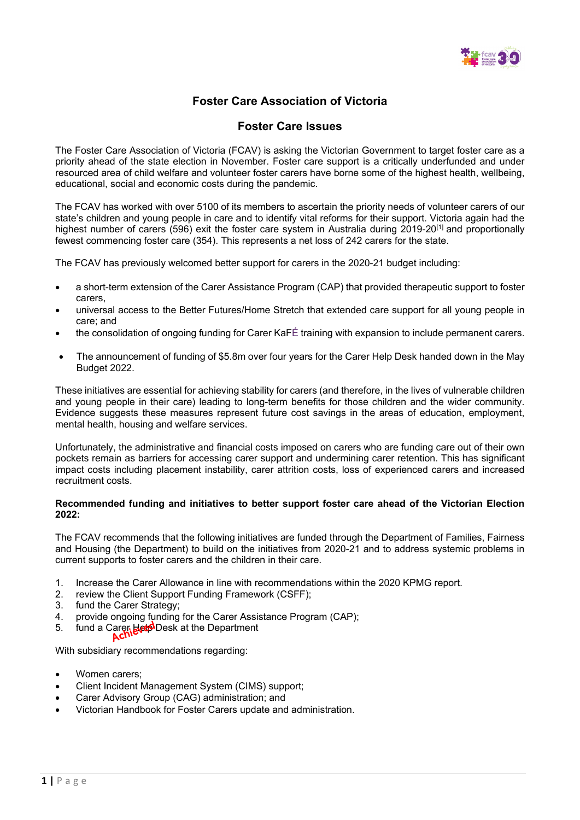

## **Foster Care Association of Victoria**

### **Foster Care Issues**

The Foster Care Association of Victoria (FCAV) is asking the Victorian Government to target foster care as a priority ahead of the state election in November. Foster care support is a critically underfunded and under resourced area of child welfare and volunteer foster carers have borne some of the highest health, wellbeing, educational, social and economic costs during the pandemic.

The FCAV has worked with over 5100 of its members to ascertain the priority needs of volunteer carers of our state's children and young people in care and to identify vital reforms for their support. Victoria again had the highest number of carers (596) exit the foster care system in Australia during 2019-20<sup>[1]</sup> and proportionally fewest commencing foster care (354). This represents a net loss of 242 carers for the state.

The FCAV has previously welcomed better support for carers in the 2020-21 budget including:

- a short-term extension of the Carer Assistance Program (CAP) that provided therapeutic support to foster carers,
- universal access to the Better Futures/Home Stretch that extended care support for all young people in care; and
- the consolidation of ongoing funding for Carer KaFÉ training with expansion to include permanent carers.
- The announcement of funding of \$5.8m over four years for the Carer Help Desk handed down in the May Budget 2022.

These initiatives are essential for achieving stability for carers (and therefore, in the lives of vulnerable children and young people in their care) leading to long-term benefits for those children and the wider community. Evidence suggests these measures represent future cost savings in the areas of education, employment, mental health, housing and welfare services.

Unfortunately, the administrative and financial costs imposed on carers who are funding care out of their own pockets remain as barriers for accessing carer support and undermining carer retention. This has significant impact costs including placement instability, carer attrition costs, loss of experienced carers and increased recruitment costs.

### **Recommended funding and initiatives to better support foster care ahead of the Victorian Election 2022:**

The FCAV recommends that the following initiatives are funded through the Department of Families, Fairness and Housing (the Department) to build on the initiatives from 2020-21 and to address systemic problems in current supports to foster carers and the children in their care.

- 1. Increase the Carer Allowance in line with recommendations within the 2020 KPMG report.<br>2. Increase the Client Support Funding Framework (CSFF):
- review the Client Support Funding Framework (CSFF);
- 3. fund the Carer Strategy;
- 4. provide ongoing funding for the Carer Assistance Program (CAP);
- 5. fund a Carer Help Desk at the Department

With subsidiary recommendations regarding:

- Women carers;
- Client Incident Management System (CIMS) support;
- Carer Advisory Group (CAG) administration; and
- Victorian Handbook for Foster Carers update and administration.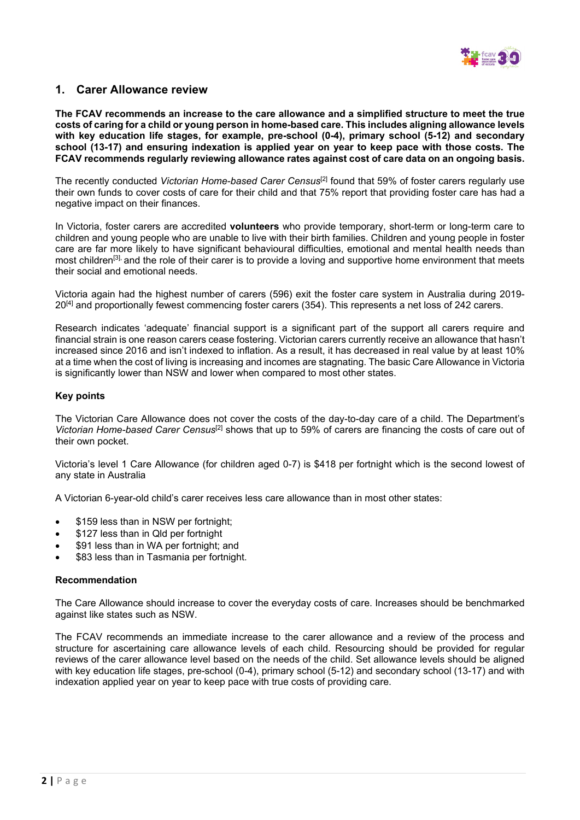

### **1. Carer Allowance review**

**The FCAV recommends an increase to the care allowance and a simplified structure to meet the true costs of caring for a child or young person in home-based care. This includes aligning allowance levels with key education life stages, for example, pre-school (0-4), primary school (5-12) and secondary school (13-17) and ensuring indexation is applied year on year to keep pace with those costs. The FCAV recommends regularly reviewing allowance rates against cost of care data on an ongoing basis.**

The recently conducted *Victorian Home-based Carer Census*[2] found that 59% of foster carers regularly use their own funds to cover costs of care for their child and that 75% report that providing foster care has had a negative impact on their finances.

In Victoria, foster carers are accredited **volunteers** who provide temporary, short-term or long-term care to children and young people who are unable to live with their birth families. Children and young people in foster care are far more likely to have significant behavioural difficulties, emotional and mental health needs than most children[3], and the role of their carer is to provide a loving and supportive home environment that meets their social and emotional needs.

Victoria again had the highest number of carers (596) exit the foster care system in Australia during 2019- 20[4] and proportionally fewest commencing foster carers (354). This represents a net loss of 242 carers.

Research indicates 'adequate' financial support is a significant part of the support all carers require and financial strain is one reason carers cease fostering. Victorian carers currently receive an allowance that hasn't increased since 2016 and isn't indexed to inflation. As a result, it has decreased in real value by at least 10% at a time when the cost of living is increasing and incomes are stagnating. The basic Care Allowance in Victoria is significantly lower than NSW and lower when compared to most other states.

### **Key points**

The Victorian Care Allowance does not cover the costs of the day-to-day care of a child. The Department's *Victorian Home-based Carer Census*[2] shows that up to 59% of carers are financing the costs of care out of their own pocket.

Victoria's level 1 Care Allowance (for children aged 0-7) is \$418 per fortnight which is the second lowest of any state in Australia

A Victorian 6-year-old child's carer receives less care allowance than in most other states:

- \$159 less than in NSW per fortnight;
- \$127 less than in Qld per fortnight
- \$91 less than in WA per fortnight; and
- \$83 less than in Tasmania per fortnight.

### **Recommendation**

The Care Allowance should increase to cover the everyday costs of care. Increases should be benchmarked against like states such as NSW.

The FCAV recommends an immediate increase to the carer allowance and a review of the process and structure for ascertaining care allowance levels of each child. Resourcing should be provided for regular reviews of the carer allowance level based on the needs of the child. Set allowance levels should be aligned with key education life stages, pre-school (0-4), primary school (5-12) and secondary school (13-17) and with indexation applied year on year to keep pace with true costs of providing care.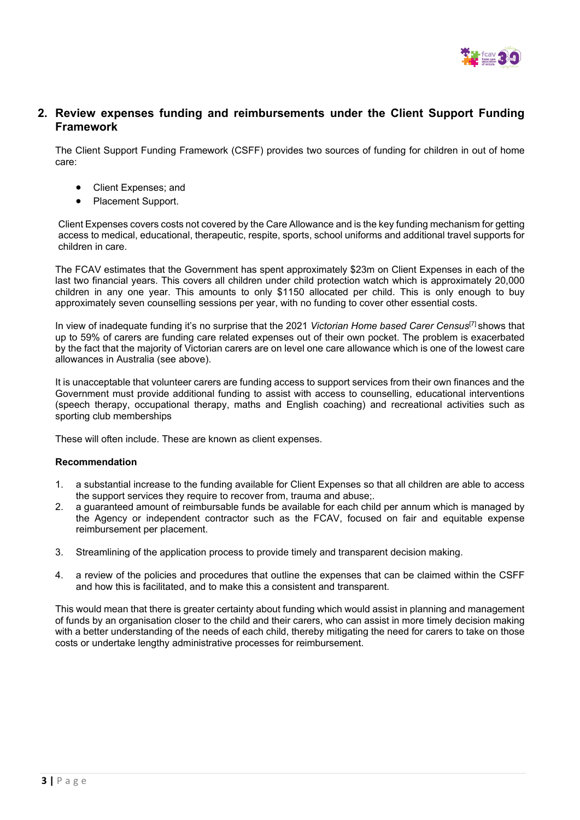

## **2. Review expenses funding and reimbursements under the Client Support Funding Framework**

The Client Support Funding Framework (CSFF) provides two sources of funding for children in out of home care:

- Client Expenses; and
- Placement Support.

Client Expenses covers costs not covered by the Care Allowance and is the key funding mechanism for getting access to medical, educational, therapeutic, respite, sports, school uniforms and additional travel supports for children in care.

The FCAV estimates that the Government has spent approximately \$23m on Client Expenses in each of the last two financial years. This covers all children under child protection watch which is approximately 20,000 children in any one year. This amounts to only \$1150 allocated per child. This is only enough to buy approximately seven counselling sessions per year, with no funding to cover other essential costs.

In view of inadequate funding it's no surprise that the 2021 *Victorian Home based Carer Census*[7] shows that up to 59% of carers are funding care related expenses out of their own pocket. The problem is exacerbated by the fact that the majority of Victorian carers are on level one care allowance which is one of the lowest care allowances in Australia (see above).

It is unacceptable that volunteer carers are funding access to support services from their own finances and the Government must provide additional funding to assist with access to counselling, educational interventions (speech therapy, occupational therapy, maths and English coaching) and recreational activities such as sporting club memberships

These will often include. These are known as client expenses.

### **Recommendation**

- 1. a substantial increase to the funding available for Client Expenses so that all children are able to access the support services they require to recover from, trauma and abuse;.
- 2. a guaranteed amount of reimbursable funds be available for each child per annum which is managed by the Agency or independent contractor such as the FCAV, focused on fair and equitable expense reimbursement per placement.
- 3. Streamlining of the application process to provide timely and transparent decision making.
- 4. a review of the policies and procedures that outline the expenses that can be claimed within the CSFF and how this is facilitated, and to make this a consistent and transparent.

This would mean that there is greater certainty about funding which would assist in planning and management of funds by an organisation closer to the child and their carers, who can assist in more timely decision making with a better understanding of the needs of each child, thereby mitigating the need for carers to take on those costs or undertake lengthy administrative processes for reimbursement.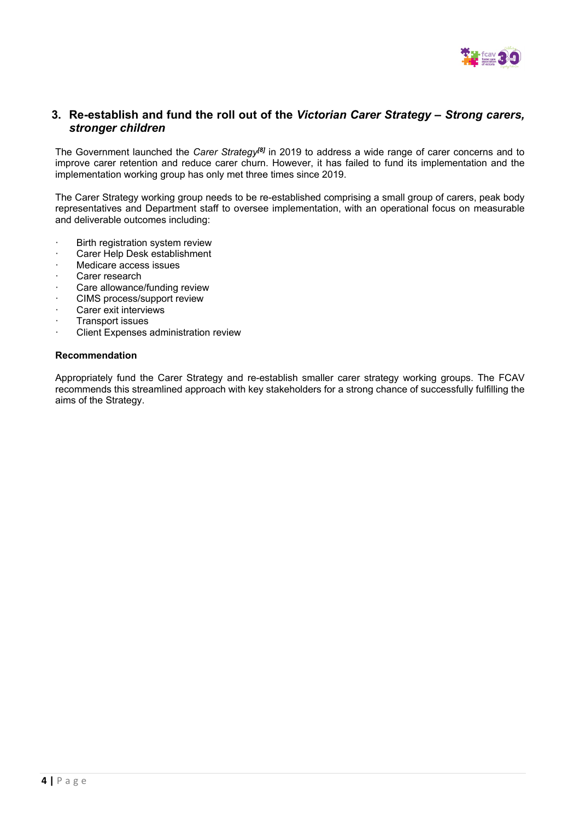

### **3. Re-establish and fund the roll out of the** *Victorian Carer Strategy – Strong carers, stronger children*

The Government launched the *Carer Strategy[8]* in 2019 to address a wide range of carer concerns and to improve carer retention and reduce carer churn. However, it has failed to fund its implementation and the implementation working group has only met three times since 2019.

The Carer Strategy working group needs to be re-established comprising a small group of carers, peak body representatives and Department staff to oversee implementation, with an operational focus on measurable and deliverable outcomes including:

- · Birth registration system review
- · Carer Help Desk establishment
- Medicare access issues
- Carer research
- Care allowance/funding review
- CIMS process/support review
- Carer exit interviews
- · Transport issues
- Client Expenses administration review

### **Recommendation**

Appropriately fund the Carer Strategy and re-establish smaller carer strategy working groups. The FCAV recommends this streamlined approach with key stakeholders for a strong chance of successfully fulfilling the aims of the Strategy.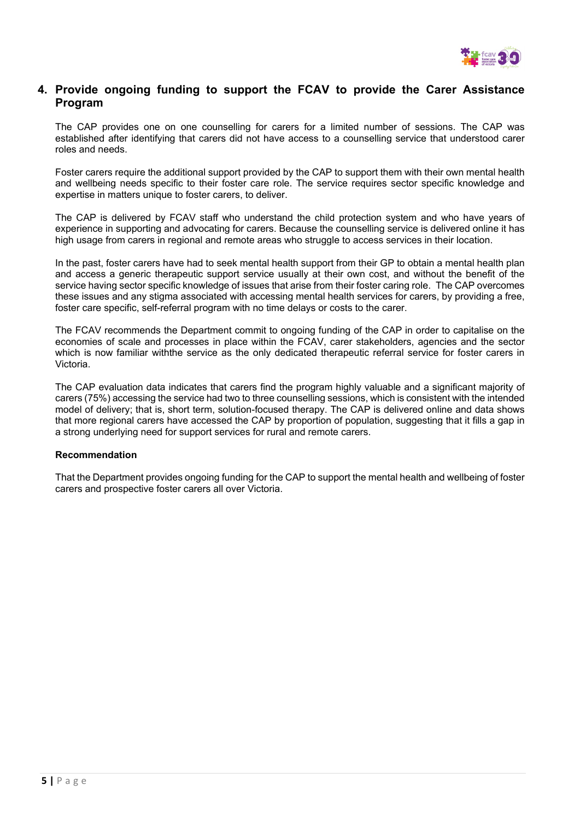

## **4. Provide ongoing funding to support the FCAV to provide the Carer Assistance Program**

The CAP provides one on one counselling for carers for a limited number of sessions. The CAP was established after identifying that carers did not have access to a counselling service that understood carer roles and needs.

Foster carers require the additional support provided by the CAP to support them with their own mental health and wellbeing needs specific to their foster care role. The service requires sector specific knowledge and expertise in matters unique to foster carers, to deliver.

The CAP is delivered by FCAV staff who understand the child protection system and who have years of experience in supporting and advocating for carers. Because the counselling service is delivered online it has high usage from carers in regional and remote areas who struggle to access services in their location.

In the past, foster carers have had to seek mental health support from their GP to obtain a mental health plan and access a generic therapeutic support service usually at their own cost, and without the benefit of the service having sector specific knowledge of issues that arise from their foster caring role. The CAP overcomes these issues and any stigma associated with accessing mental health services for carers, by providing a free, foster care specific, self-referral program with no time delays or costs to the carer.

The FCAV recommends the Department commit to ongoing funding of the CAP in order to capitalise on the economies of scale and processes in place within the FCAV, carer stakeholders, agencies and the sector which is now familiar withthe service as the only dedicated therapeutic referral service for foster carers in Victoria.

The CAP evaluation data indicates that carers find the program highly valuable and a significant majority of carers (75%) accessing the service had two to three counselling sessions, which is consistent with the intended model of delivery; that is, short term, solution-focused therapy. The CAP is delivered online and data shows that more regional carers have accessed the CAP by proportion of population, suggesting that it fills a gap in a strong underlying need for support services for rural and remote carers.

### **Recommendation**

That the Department provides ongoing funding for the CAP to support the mental health and wellbeing of foster carers and prospective foster carers all over Victoria.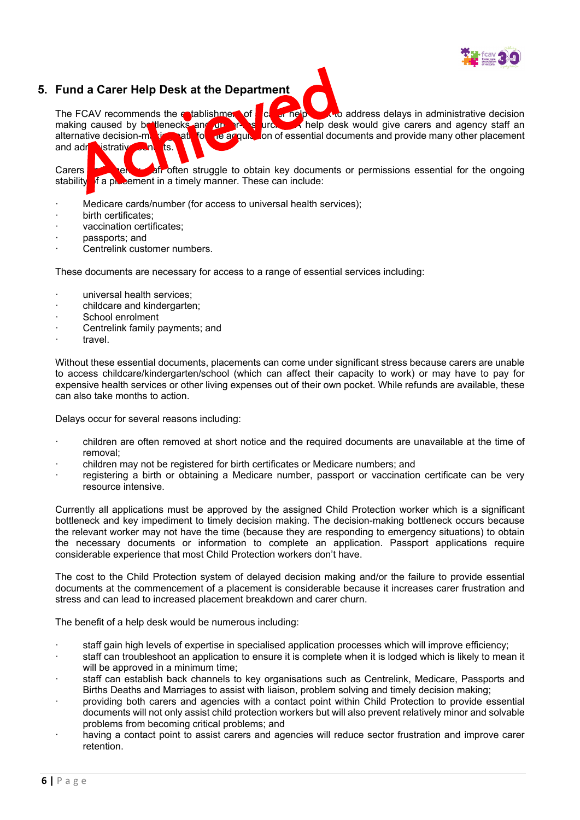

## **5. Fund a Carer Help Desk at the Department**

The FCAV recommends the establishment of  $\begin{bmatrix} c & c \end{bmatrix}$  and  $\begin{bmatrix} a & c \end{bmatrix}$  and  $\begin{bmatrix} a & c \end{bmatrix}$  and  $\begin{bmatrix} a & c \end{bmatrix}$  and  $\begin{bmatrix} a & c \end{bmatrix}$  and  $\begin{bmatrix} a & c \end{bmatrix}$  and  $\begin{bmatrix} a & c \end{bmatrix}$  and  $\begin{bmatrix} a & c \end{bmatrix}$  and  $\begin{$ **urd.** A help desk would give carers and agency staff an alternative decision-making path for the acquisition of essential documents and provide many other placement and administrative and its **a**nd administrative benefits.

Carers **and agency staff often struggle to obtain key documents or permissions essential for the ongoing stability of a placement in a timely manner. These can include:** If a placement in a timely manner. These can include:

- · Medicare cards/number (for access to universal health services);
- birth certificates:
- · vaccination certificates;
- passports; and
- Centrelink customer numbers.

These documents are necessary for access to a range of essential services including:

- universal health services:
- · childcare and kindergarten;
- School enrolment
- Centrelink family payments; and
- travel.

Without these essential documents, placements can come under significant stress because carers are unable to access childcare/kindergarten/school (which can affect their capacity to work) or may have to pay for expensive health services or other living expenses out of their own pocket. While refunds are available, these can also take months to action.

Delays occur for several reasons including:

- · children are often removed at short notice and the required documents are unavailable at the time of removal;
- · children may not be registered for birth certificates or Medicare numbers; and
- · registering a birth or obtaining a Medicare number, passport or vaccination certificate can be very resource intensive.

Currently all applications must be approved by the assigned Child Protection worker which is a significant bottleneck and key impediment to timely decision making. The decision-making bottleneck occurs because the relevant worker may not have the time (because they are responding to emergency situations) to obtain the necessary documents or information to complete an application. Passport applications require considerable experience that most Child Protection workers don't have.

The cost to the Child Protection system of delayed decision making and/or the failure to provide essential documents at the commencement of a placement is considerable because it increases carer frustration and stress and can lead to increased placement breakdown and carer churn.

The benefit of a help desk would be numerous including:

- staff gain high levels of expertise in specialised application processes which will improve efficiency;
- staff can troubleshoot an application to ensure it is complete when it is lodged which is likely to mean it will be approved in a minimum time:
- staff can establish back channels to key organisations such as Centrelink, Medicare, Passports and Births Deaths and Marriages to assist with liaison, problem solving and timely decision making;
- · providing both carers and agencies with a contact point within Child Protection to provide essential documents will not only assist child protection workers but will also prevent relatively minor and solvable problems from becoming critical problems; and
- having a contact point to assist carers and agencies will reduce sector frustration and improve carer retention.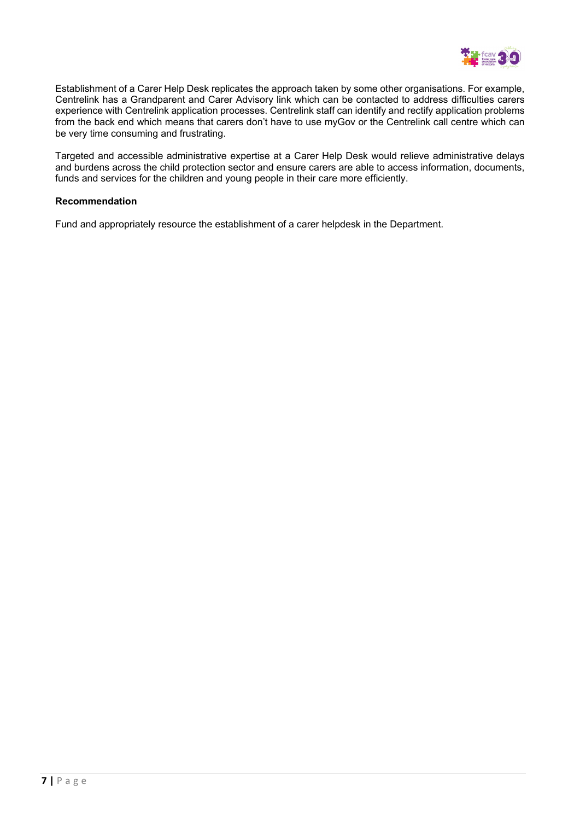

Establishment of a Carer Help Desk replicates the approach taken by some other organisations. For example, Centrelink has a Grandparent and Carer Advisory link which can be contacted to address difficulties carers experience with Centrelink application processes. Centrelink staff can identify and rectify application problems from the back end which means that carers don't have to use myGov or the Centrelink call centre which can be very time consuming and frustrating.

Targeted and accessible administrative expertise at a Carer Help Desk would relieve administrative delays and burdens across the child protection sector and ensure carers are able to access information, documents, funds and services for the children and young people in their care more efficiently.

### **Recommendation**

Fund and appropriately resource the establishment of a carer helpdesk in the Department.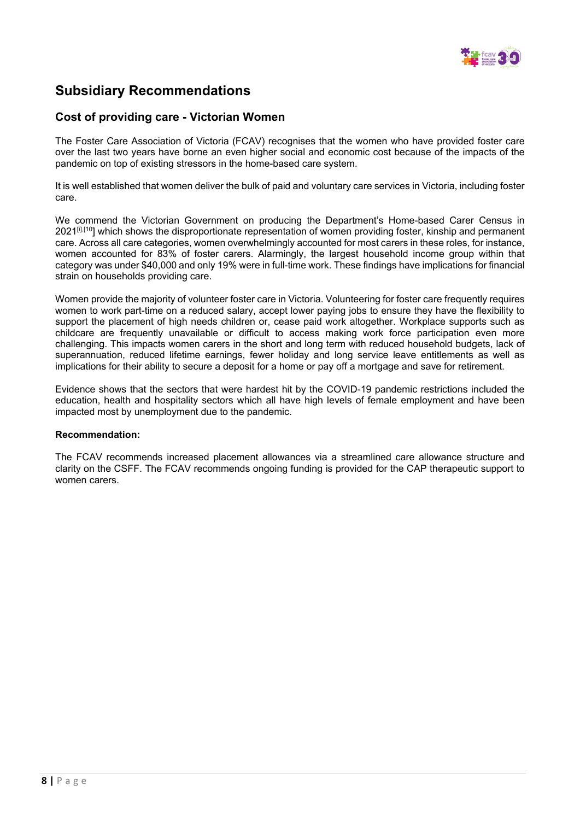

# **Subsidiary Recommendations**

## **Cost of providing care - Victorian Women**

The Foster Care Association of Victoria (FCAV) recognises that the women who have provided foster care over the last two years have borne an even higher social and economic cost because of the impacts of the pandemic on top of existing stressors in the home-based care system.

It is well established that women deliver the bulk of paid and voluntary care services in Victoria, including foster care.

We commend the Victorian Government on producing the Department's Home-based Carer Census in  $2021^{\left[\text{II},\text{I}\right]}$  which shows the disproportionate representation of women providing foster, kinship and permanent care. Across all care categories, women overwhelmingly accounted for most carers in these roles, for instance, women accounted for 83% of foster carers. Alarmingly, the largest household income group within that category was under \$40,000 and only 19% were in full-time work. These findings have implications for financial strain on households providing care.

Women provide the majority of volunteer foster care in Victoria. Volunteering for foster care frequently requires women to work part-time on a reduced salary, accept lower paying jobs to ensure they have the flexibility to support the placement of high needs children or, cease paid work altogether. Workplace supports such as childcare are frequently unavailable or difficult to access making work force participation even more challenging. This impacts women carers in the short and long term with reduced household budgets, lack of superannuation, reduced lifetime earnings, fewer holiday and long service leave entitlements as well as implications for their ability to secure a deposit for a home or pay off a mortgage and save for retirement.

Evidence shows that the sectors that were hardest hit by the COVID-19 pandemic restrictions included the education, health and hospitality sectors which all have high levels of female employment and have been impacted most by unemployment due to the pandemic.

### **Recommendation:**

The FCAV recommends increased placement allowances via a streamlined care allowance structure and clarity on the CSFF. The FCAV recommends ongoing funding is provided for the CAP therapeutic support to women carers.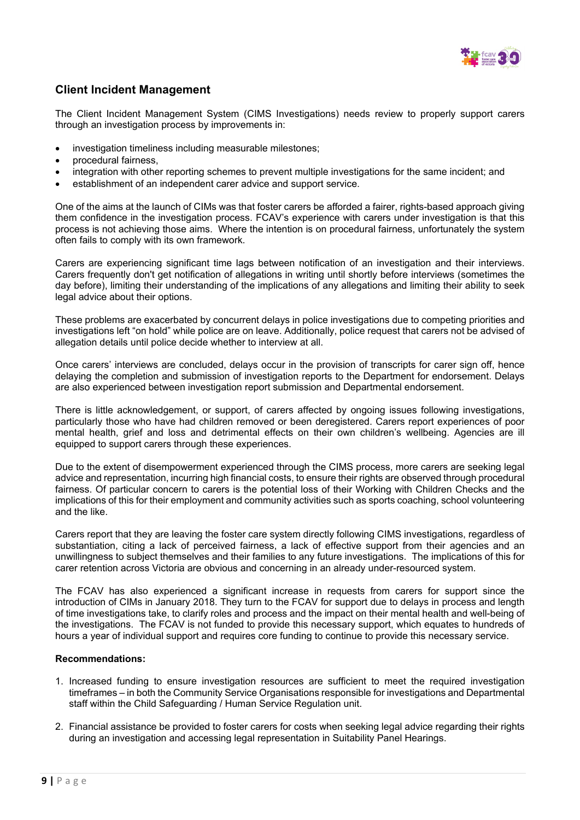

## **Client Incident Management**

The Client Incident Management System (CIMS Investigations) needs review to properly support carers through an investigation process by improvements in:

- investigation timeliness including measurable milestones;
- procedural fairness,
- integration with other reporting schemes to prevent multiple investigations for the same incident; and
- establishment of an independent carer advice and support service.

One of the aims at the launch of CIMs was that foster carers be afforded a fairer, rights-based approach giving them confidence in the investigation process. FCAV's experience with carers under investigation is that this process is not achieving those aims. Where the intention is on procedural fairness, unfortunately the system often fails to comply with its own framework.

Carers are experiencing significant time lags between notification of an investigation and their interviews. Carers frequently don't get notification of allegations in writing until shortly before interviews (sometimes the day before), limiting their understanding of the implications of any allegations and limiting their ability to seek legal advice about their options.

These problems are exacerbated by concurrent delays in police investigations due to competing priorities and investigations left "on hold" while police are on leave. Additionally, police request that carers not be advised of allegation details until police decide whether to interview at all.

Once carers' interviews are concluded, delays occur in the provision of transcripts for carer sign off, hence delaying the completion and submission of investigation reports to the Department for endorsement. Delays are also experienced between investigation report submission and Departmental endorsement.

There is little acknowledgement, or support, of carers affected by ongoing issues following investigations, particularly those who have had children removed or been deregistered. Carers report experiences of poor mental health, grief and loss and detrimental effects on their own children's wellbeing. Agencies are ill equipped to support carers through these experiences.

Due to the extent of disempowerment experienced through the CIMS process, more carers are seeking legal advice and representation, incurring high financial costs, to ensure their rights are observed through procedural fairness. Of particular concern to carers is the potential loss of their Working with Children Checks and the implications of this for their employment and community activities such as sports coaching, school volunteering and the like.

Carers report that they are leaving the foster care system directly following CIMS investigations, regardless of substantiation, citing a lack of perceived fairness, a lack of effective support from their agencies and an unwillingness to subject themselves and their families to any future investigations. The implications of this for carer retention across Victoria are obvious and concerning in an already under-resourced system.

The FCAV has also experienced a significant increase in requests from carers for support since the introduction of CIMs in January 2018. They turn to the FCAV for support due to delays in process and length of time investigations take, to clarify roles and process and the impact on their mental health and well-being of the investigations. The FCAV is not funded to provide this necessary support, which equates to hundreds of hours a year of individual support and requires core funding to continue to provide this necessary service.

### **Recommendations:**

- 1. Increased funding to ensure investigation resources are sufficient to meet the required investigation timeframes – in both the Community Service Organisations responsible for investigations and Departmental staff within the Child Safeguarding / Human Service Regulation unit.
- 2. Financial assistance be provided to foster carers for costs when seeking legal advice regarding their rights during an investigation and accessing legal representation in Suitability Panel Hearings.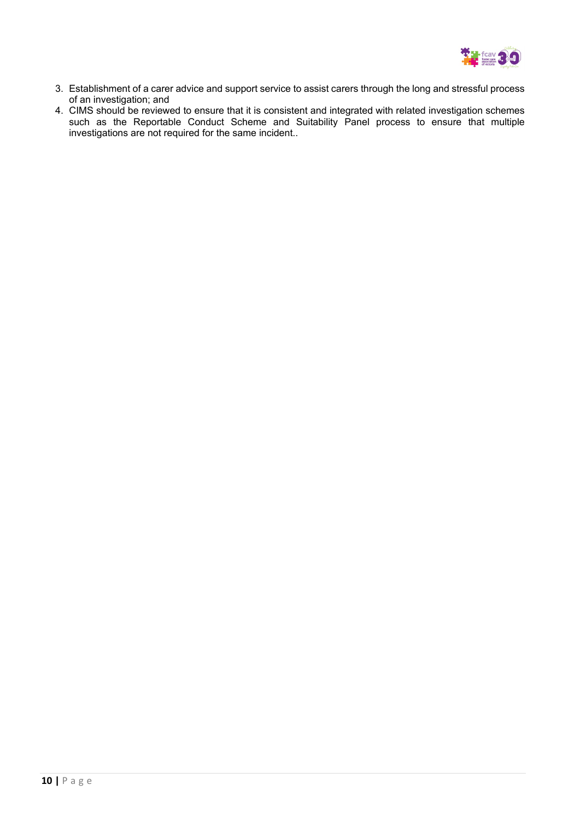

- 3. Establishment of a carer advice and support service to assist carers through the long and stressful process of an investigation; and
- 4. CIMS should be reviewed to ensure that it is consistent and integrated with related investigation schemes such as the Reportable Conduct Scheme and Suitability Panel process to ensure that multiple investigations are not required for the same incident..